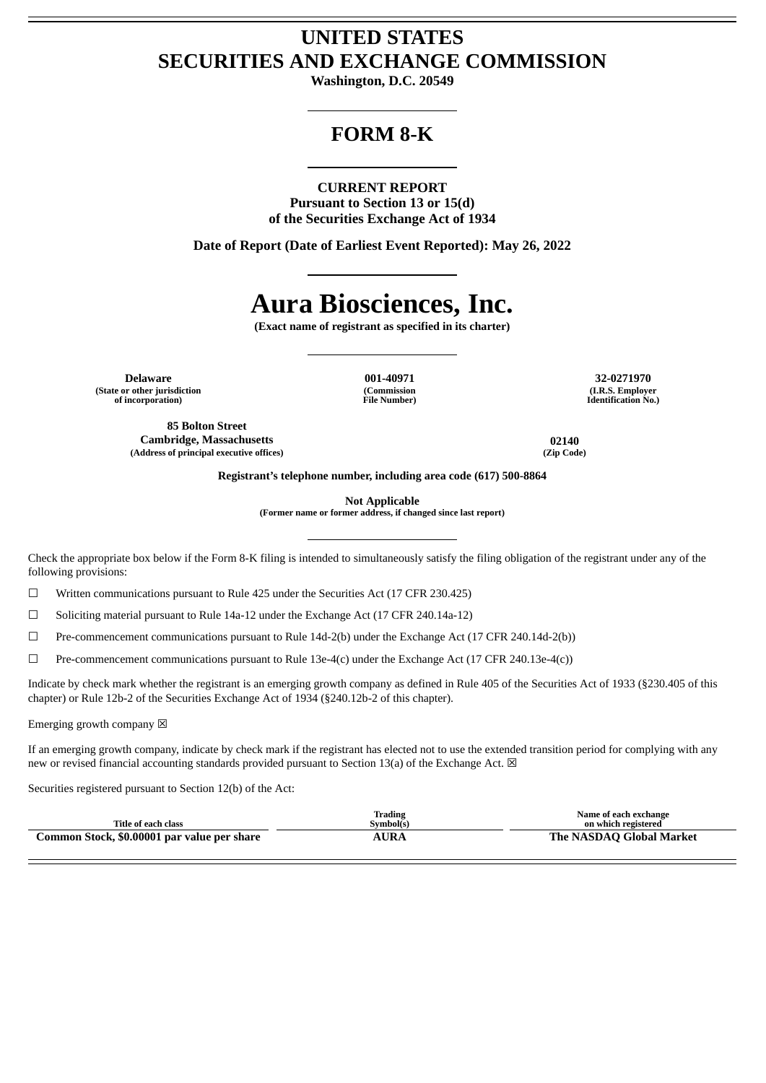# **UNITED STATES SECURITIES AND EXCHANGE COMMISSION**

**Washington, D.C. 20549**

# **FORM 8-K**

# **CURRENT REPORT**

**Pursuant to Section 13 or 15(d) of the Securities Exchange Act of 1934**

**Date of Report (Date of Earliest Event Reported): May 26, 2022**

# **Aura Biosciences, Inc.**

**(Exact name of registrant as specified in its charter)**

**Delaware 001-40971 32-0271970 (State or other jurisdiction of incorporation)**

**85 Bolton Street Cambridge, Massachusetts 02140 (Address of principal executive offices) (Zip Code)**

**(Commission File Number)**

**(I.R.S. Employer Identification No.)**

**Registrant's telephone number, including area code (617) 500-8864**

**Not Applicable**

**(Former name or former address, if changed since last report)**

Check the appropriate box below if the Form 8-K filing is intended to simultaneously satisfy the filing obligation of the registrant under any of the following provisions:

☐ Written communications pursuant to Rule 425 under the Securities Act (17 CFR 230.425)

☐ Soliciting material pursuant to Rule 14a-12 under the Exchange Act (17 CFR 240.14a-12)

☐ Pre-commencement communications pursuant to Rule 14d-2(b) under the Exchange Act (17 CFR 240.14d-2(b))

 $\Box$  Pre-commencement communications pursuant to Rule 13e-4(c) under the Exchange Act (17 CFR 240.13e-4(c))

Indicate by check mark whether the registrant is an emerging growth company as defined in Rule 405 of the Securities Act of 1933 (§230.405 of this chapter) or Rule 12b-2 of the Securities Exchange Act of 1934 (§240.12b-2 of this chapter).

Emerging growth company  $\boxtimes$ 

If an emerging growth company, indicate by check mark if the registrant has elected not to use the extended transition period for complying with any new or revised financial accounting standards provided pursuant to Section 13(a) of the Exchange Act.  $\boxtimes$ 

Securities registered pursuant to Section 12(b) of the Act:

| Title of each class                         | Trading<br>Symbol(s) | Name of each exchange<br>on which registered |
|---------------------------------------------|----------------------|----------------------------------------------|
| Common Stock, \$0.00001 par value per share | <b>AURA</b>          | The NASDAQ Global Market                     |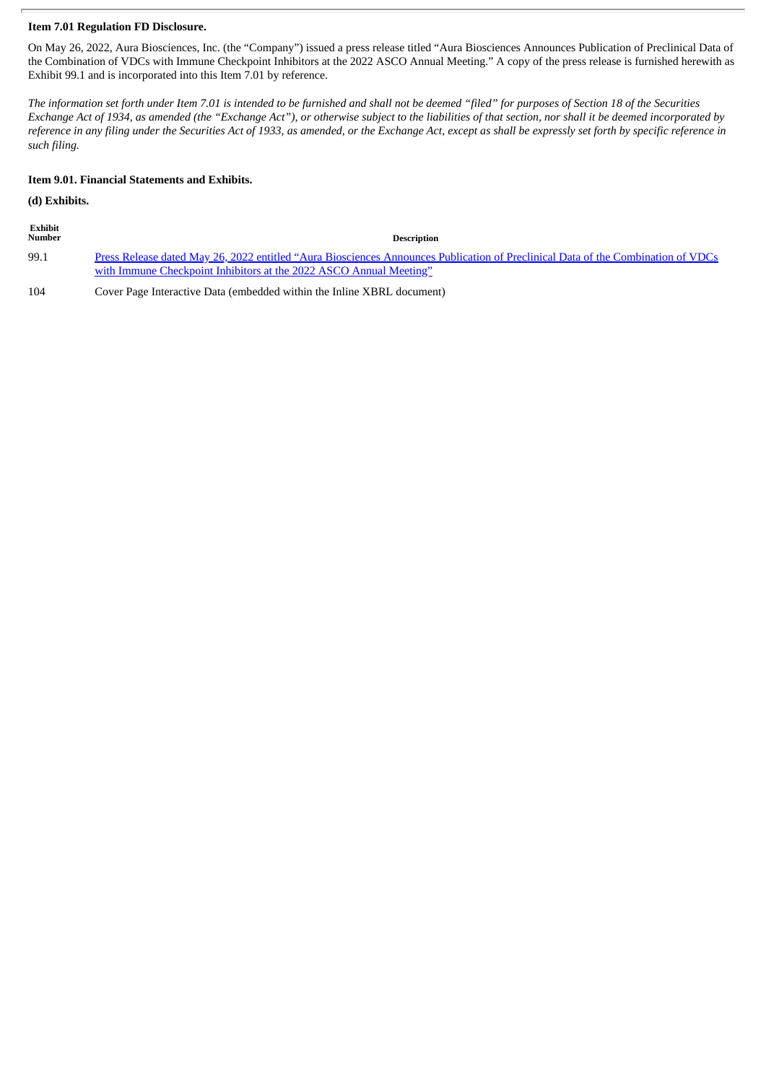# **Item 7.01 Regulation FD Disclosure.**

On May 26, 2022, Aura Biosciences, Inc. (the "Company") issued a press release titled "Aura Biosciences Announces Publication of Preclinical Data of the Combination of VDCs with Immune Checkpoint Inhibitors at the 2022 ASCO Annual Meeting." A copy of the press release is furnished herewith as Exhibit 99.1 and is incorporated into this Item 7.01 by reference.

The information set forth under Item 7.01 is intended to be furnished and shall not be deemed "filed" for purposes of Section 18 of the Securities Exchange Act of 1934, as amended (the "Exchange Act"), or otherwise subject to the liabilities of that section, nor shall it be deemed incorporated by reference in any filing under the Securities Act of 1933, as amended, or the Exchange Act, except as shall be expressly set forth by specific reference in *such filing.*

## **Item 9.01. Financial Statements and Exhibits.**

# **(d) Exhibits.**

| Exhibit<br><b>Number</b> | <b>Description</b>                                                                                                               |
|--------------------------|----------------------------------------------------------------------------------------------------------------------------------|
| 99.1                     | Press Release dated May 26, 2022 entitled "Aura Biosciences Announces Publication of Preclinical Data of the Combination of VDCs |
|                          | with Immune Checkpoint Inhibitors at the 2022 ASCO Annual Meeting"                                                               |
|                          |                                                                                                                                  |

104 Cover Page Interactive Data (embedded within the Inline XBRL document)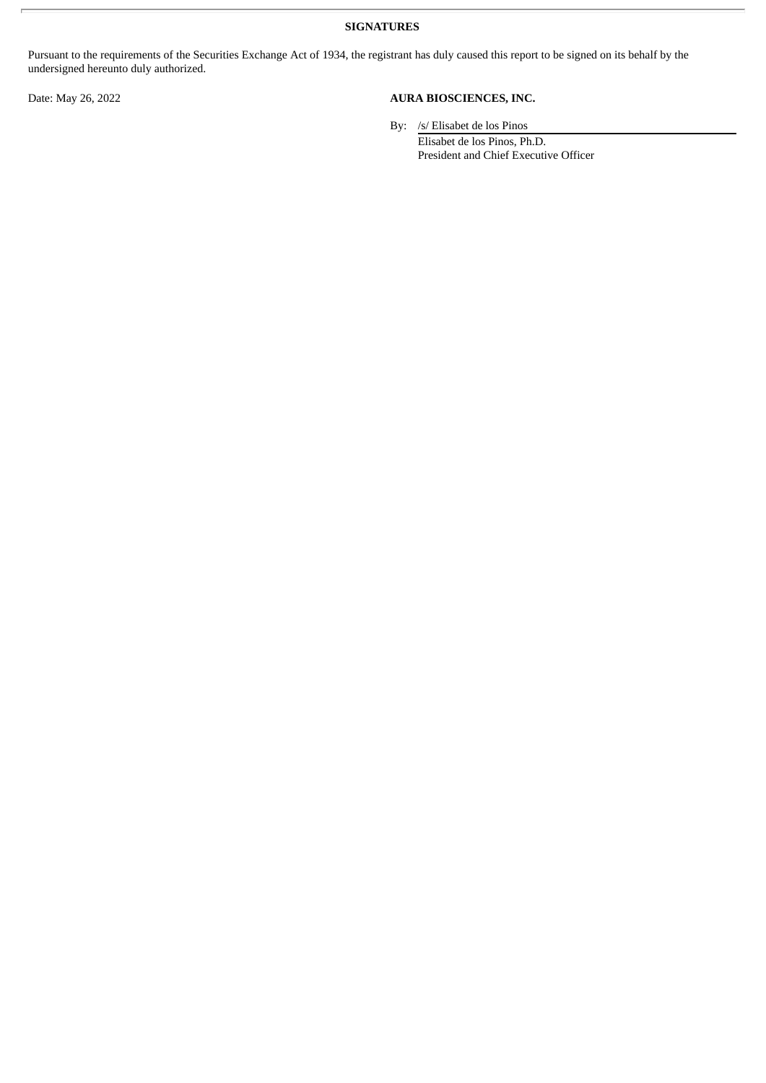**SIGNATURES**

Pursuant to the requirements of the Securities Exchange Act of 1934, the registrant has duly caused this report to be signed on its behalf by the undersigned hereunto duly authorized.

# Date: May 26, 2022 **AURA BIOSCIENCES, INC.**

By: /s/ Elisabet de los Pinos

Elisabet de los Pinos, Ph.D. President and Chief Executive Officer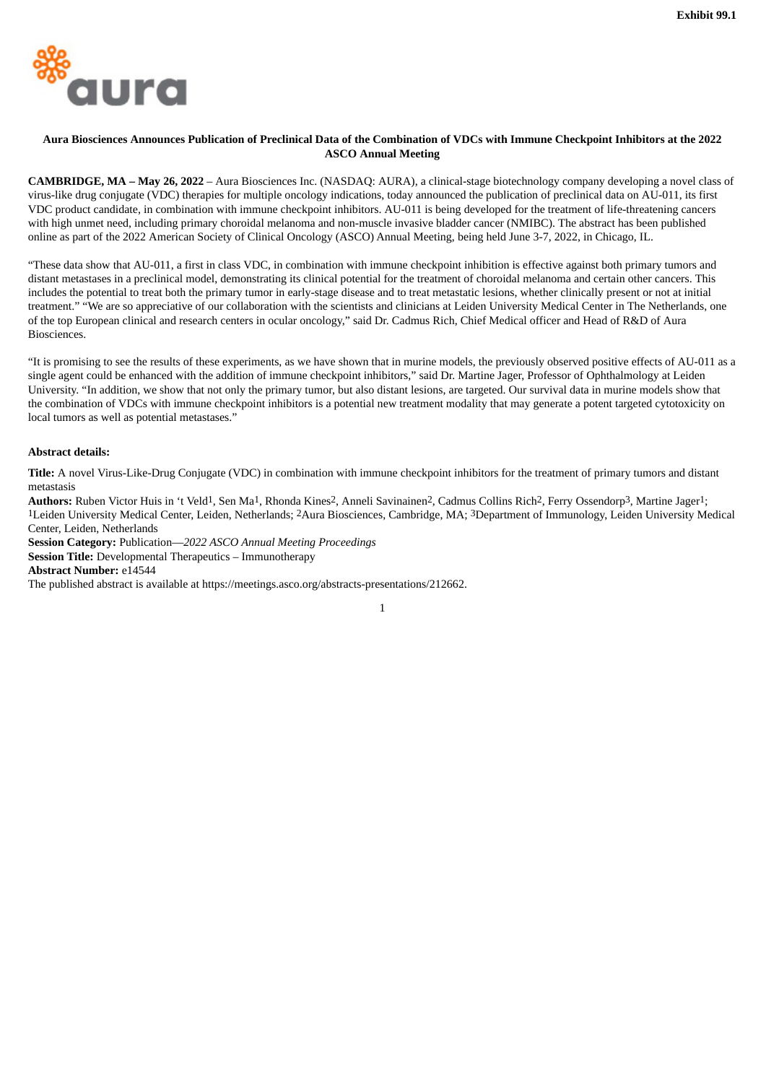<span id="page-3-0"></span>

# Aura Biosciences Announces Publication of Preclinical Data of the Combination of VDCs with Immune Checkpoint Inhibitors at the 2022 **ASCO Annual Meeting**

**CAMBRIDGE, MA – May 26, 2022** – Aura Biosciences Inc. (NASDAQ: AURA), a clinical-stage biotechnology company developing a novel class of virus-like drug conjugate (VDC) therapies for multiple oncology indications, today announced the publication of preclinical data on AU-011, its first VDC product candidate, in combination with immune checkpoint inhibitors. AU-011 is being developed for the treatment of life-threatening cancers with high unmet need, including primary choroidal melanoma and non-muscle invasive bladder cancer (NMIBC). The abstract has been published online as part of the 2022 American Society of Clinical Oncology (ASCO) Annual Meeting, being held June 3-7, 2022, in Chicago, IL.

"These data show that AU-011, a first in class VDC, in combination with immune checkpoint inhibition is effective against both primary tumors and distant metastases in a preclinical model, demonstrating its clinical potential for the treatment of choroidal melanoma and certain other cancers. This includes the potential to treat both the primary tumor in early-stage disease and to treat metastatic lesions, whether clinically present or not at initial treatment." "We are so appreciative of our collaboration with the scientists and clinicians at Leiden University Medical Center in The Netherlands, one of the top European clinical and research centers in ocular oncology," said Dr. Cadmus Rich, Chief Medical officer and Head of R&D of Aura Biosciences.

"It is promising to see the results of these experiments, as we have shown that in murine models, the previously observed positive effects of AU-011 as a single agent could be enhanced with the addition of immune checkpoint inhibitors," said Dr. Martine Jager, Professor of Ophthalmology at Leiden University. "In addition, we show that not only the primary tumor, but also distant lesions, are targeted. Our survival data in murine models show that the combination of VDCs with immune checkpoint inhibitors is a potential new treatment modality that may generate a potent targeted cytotoxicity on local tumors as well as potential metastases."

# **Abstract details:**

**Title:** A novel Virus-Like-Drug Conjugate (VDC) in combination with immune checkpoint inhibitors for the treatment of primary tumors and distant metastasis

**Authors:** Ruben Victor Huis in 't Veld1, Sen Ma1, Rhonda Kines2, Anneli Savinainen2, Cadmus Collins Rich2, Ferry Ossendorp3, Martine Jager1; 1Leiden University Medical Center, Leiden, Netherlands; 2Aura Biosciences, Cambridge, MA; 3Department of Immunology, Leiden University Medical Center, Leiden, Netherlands

**Session Category:** Publication—*2022 ASCO Annual Meeting Proceedings*

**Session Title:** Developmental Therapeutics – Immunotherapy

**Abstract Number:** e14544

The published abstract is available at https://meetings.asco.org/abstracts-presentations/212662.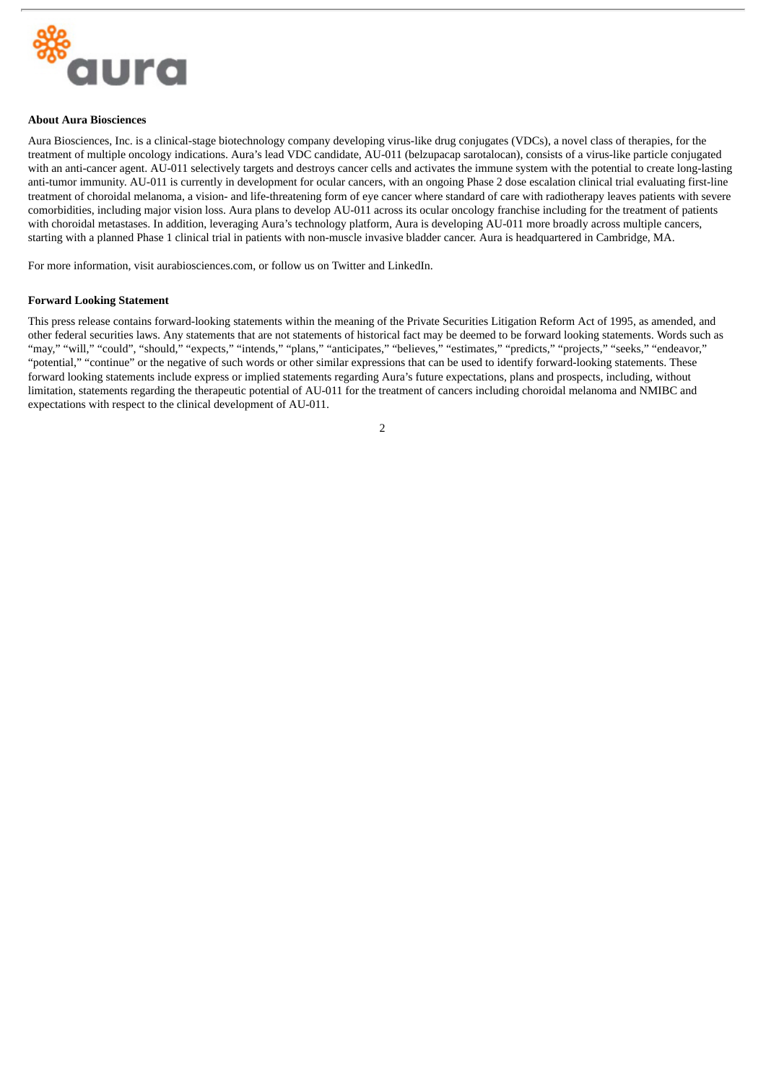

## **About Aura Biosciences**

Aura Biosciences, Inc. is a clinical-stage biotechnology company developing virus-like drug conjugates (VDCs), a novel class of therapies, for the treatment of multiple oncology indications. Aura's lead VDC candidate, AU-011 (belzupacap sarotalocan), consists of a virus-like particle conjugated with an anti-cancer agent. AU-011 selectively targets and destroys cancer cells and activates the immune system with the potential to create long-lasting anti-tumor immunity. AU-011 is currently in development for ocular cancers, with an ongoing Phase 2 dose escalation clinical trial evaluating first-line treatment of choroidal melanoma, a vision- and life-threatening form of eye cancer where standard of care with radiotherapy leaves patients with severe comorbidities, including major vision loss. Aura plans to develop AU-011 across its ocular oncology franchise including for the treatment of patients with choroidal metastases. In addition, leveraging Aura's technology platform, Aura is developing AU-011 more broadly across multiple cancers, starting with a planned Phase 1 clinical trial in patients with non-muscle invasive bladder cancer. Aura is headquartered in Cambridge, MA.

For more information, visit aurabiosciences.com, or follow us on Twitter and LinkedIn.

#### **Forward Looking Statement**

This press release contains forward-looking statements within the meaning of the Private Securities Litigation Reform Act of 1995, as amended, and other federal securities laws. Any statements that are not statements of historical fact may be deemed to be forward looking statements. Words such as "may," "will," "could", "should," "expects," "intends," "plans," "anticipates," "believes," "estimates," "predicts," "projects," "seeks," "endeavor," "potential," "continue" or the negative of such words or other similar expressions that can be used to identify forward-looking statements. These forward looking statements include express or implied statements regarding Aura's future expectations, plans and prospects, including, without limitation, statements regarding the therapeutic potential of AU-011 for the treatment of cancers including choroidal melanoma and NMIBC and expectations with respect to the clinical development of AU-011.